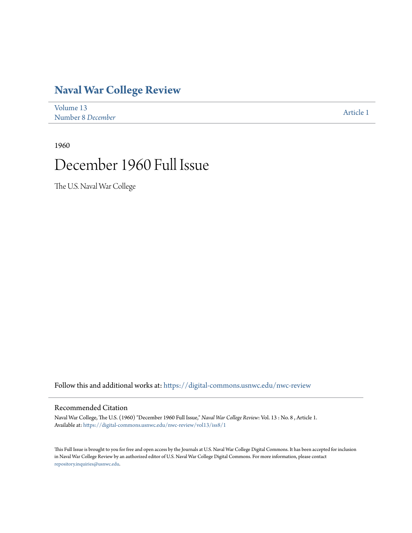# **[Naval War College Review](https://digital-commons.usnwc.edu/nwc-review?utm_source=digital-commons.usnwc.edu%2Fnwc-review%2Fvol13%2Fiss8%2F1&utm_medium=PDF&utm_campaign=PDFCoverPages)**

| Volume 13         | Article 1 |
|-------------------|-----------|
| Number 8 December |           |

1960

# December 1960 Full Issue

The U.S. Naval War College

Follow this and additional works at: [https://digital-commons.usnwc.edu/nwc-review](https://digital-commons.usnwc.edu/nwc-review?utm_source=digital-commons.usnwc.edu%2Fnwc-review%2Fvol13%2Fiss8%2F1&utm_medium=PDF&utm_campaign=PDFCoverPages)

# Recommended Citation

Naval War College, The U.S. (1960) "December 1960 Full Issue," *Naval War College Review*: Vol. 13 : No. 8 , Article 1. Available at: [https://digital-commons.usnwc.edu/nwc-review/vol13/iss8/1](https://digital-commons.usnwc.edu/nwc-review/vol13/iss8/1?utm_source=digital-commons.usnwc.edu%2Fnwc-review%2Fvol13%2Fiss8%2F1&utm_medium=PDF&utm_campaign=PDFCoverPages)

This Full Issue is brought to you for free and open access by the Journals at U.S. Naval War College Digital Commons. It has been accepted for inclusion in Naval War College Review by an authorized editor of U.S. Naval War College Digital Commons. For more information, please contact [repository.inquiries@usnwc.edu](mailto:repository.inquiries@usnwc.edu).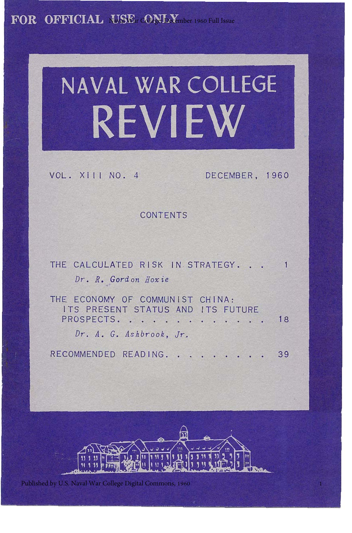FOR OFFICIAL USE CONLY mber 1960 Full Issue

# **NAVAL WAR COLLEGE REVIEW**

VOL. XIII NO. 4

DECEMBER, 1960

1

CONTENTS

| THE CALCULATED RISK IN STRATEGY. 1                                                    |    |
|---------------------------------------------------------------------------------------|----|
| Dr. R. Gordon Hoxie                                                                   |    |
| THE ECONOMY OF COMMUNIST CHINA:<br>ITS PRESENT STATUS AND ITS FUTURE<br>PROSPECTS. 18 |    |
| Dr. A. G. Ashbrook, Jr.                                                               |    |
| RECOMMENDED READING<br>医皮肤病 医心脏病 医神经病的 医白色                                            | 39 |



Published by U.S. Naval War College Digital Commons, 1960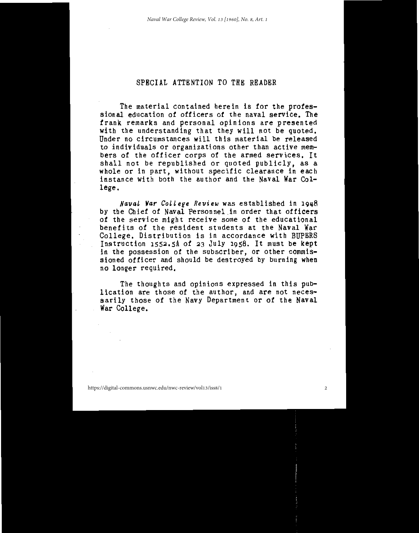# SPECIAL ATTENTION TO THE READER

The material contained herein is for the professional education of officers of the naval service. The frank remarks and personal opinions are presented<br>with the understanding that they will not be quoted. Under no circumstances will this material be released to individuals or organizations other than active members of the officer corps of the armed services. It shall not be republished or quoted publicly, as a whole or in part, without specific clearance in each<br>instance with both the author and the Naval War College.

Naval War College Review was established in 1948 by the Chief of Naval Personnel in order that officers of the service might receive some of the educational benefits of the resident students at the Naval War College. Distribution is in accordance with BUPERS Instruction 1552.5A of 23 July 1958. It must be kept in the possession of the subscriber, or other commis-<br>sioned officer and should be destroyed by burning when no longer required.

The thoughts and opinions expressed in this publication are those of the author, and are not necessarily those of the Navy Department or of the Naval War College.

https://digital-commons.usnwc.edu/nwc-review/vol13/iss8/1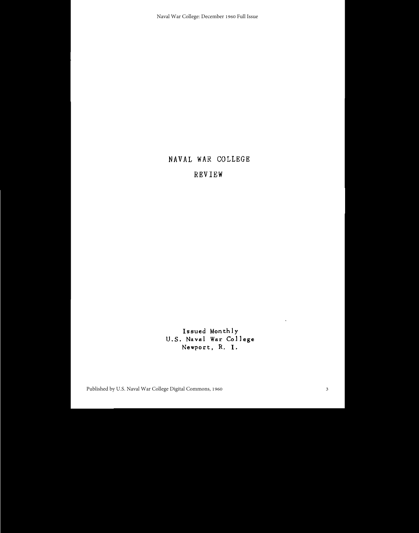Naval War College: December 1960 Full Issue

# NAVAL WAR COLLEGE

# REVIEW

Issued Monthly U.S. Naval War College Newport, R. I.

Published by U.S. Naval War College Digital Commons, 1960

 $\lambda$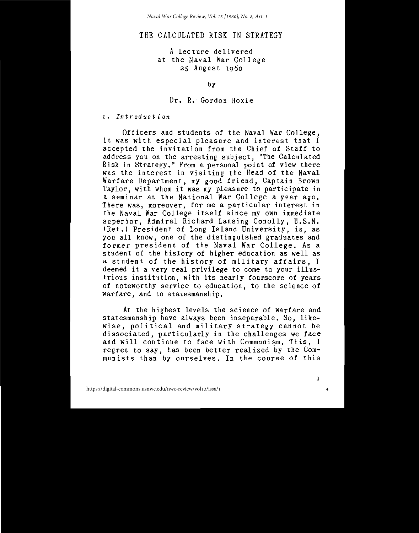# THE CALCULATED RISK IN STRATEGY

# A lecture delivered at the Naval War College 25 August 1960

by

#### Dr. R. Gordon Hoxie

1. Introduction

Officers and students of the Naval War College, it was with especial pleasure and interest that I accepted the invitation from the Chief of Staff to address you on the arresting subject. "The Calculated Risk in Strategy." From a personal point of view there<br>was the interest in visiting the Head of the Naval Warfare Department, my good friend, Captain Brown Taylor, with whom it was my pleasure to participate in a seminar at the National War College a year ago. There was, moreover, for me a particular interest in the Naval War College itself since my own immediate superior, Admiral Richard Lansing Conolly, U.S.N. (Ret.) President of Long Island University, is, as you all know, one of the distinguished graduates and former president of the Naval War College. As a student of the history of higher education as well as a student of the history of military affairs, I deemed it a very real privilege to come to your illustrious institution, with its nearly fourscore of years of noteworthy service to education, to the science of warfare, and to statesmanship.

At the highest levels the science of warfare and statesmanship have always been inseparable. So, likewise, political and military strategy cannot be dissociated, particularly in the challenges we face and will continue to face with Communism. This, I regret to say, has been better realized by the Communists than by ourselves. In the course of this

4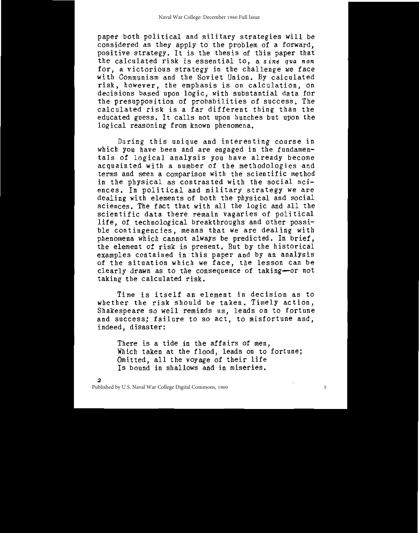paper both political and military strategies will be considered as they apply to the problem of a forward, positive strategy. It is the thesis of this paper that the calculated risk is essential to, a sine qua non for, a victorious strategy in the challenge we face with Communism and the Soviet Union. By calculated risk, however, the emphasis is on calculation, on decisions based upon logic, with substantial data for<br>the presupposition of probabilities of success. The calculated risk is a far different thing than the educated guess. It calls not upon hunches but upon the logical reasoning from known phenomena.

During this unique and interesting course in which you have been and are engaged in the fundamen-<br>tals of logical analysis you have already become acquainted with a number of the methodologies and terms and seen a comparison with the scientific method in the physical as contrasted with the social sciences. In political and military strategy we are dealing with elements of both the physical and social sciences. The fact that with all the logic and all the scientific data there remain vagaries of political life, of technological breakthroughs and other possible contingencies, means that we are dealing with phenomena which cannot always be predicted. In brief,<br>the element of risk is present. But by the historical examples contained in this paper and by an analysis<br>of the situation which we face, the lesson can be clearly drawn as to the consequence of taking-or not taking the calculated risk.

Time is itself an element in decision as to whether the risk should be taken. Timely action, Shakespeare so well reminds us, leads on to fortune and success; failure to so act, to misfortune and, indeed, disaster:

There is a tide in the affairs of men, Which taken at the flood, leads on to fortune;<br>Omitted, all the voyage of their life Is bound in shallows and in miseries.

5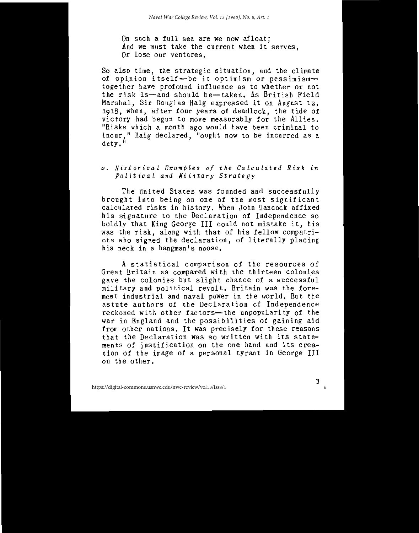On such a full sea are we now afloat; And we must take the current when it serves. Or lose our ventures.

So also time, the strategic situation, and the climate of opinion itself-be it optimism or pessimismtogether have profound influence as to whether or not the risk is-and should be-taken. As British Field Marshal, Sir Douglas Haig expressed it on August 12, 1918, when, after four years of deadlock, the tide of victory had begun to move measurably for the Allies. "Risks which a month ago would have been criminal to incur." Haig declared, "ought now to be incurred as a  $\frac{dutv}{u}$ <sup>ii</sup>

# 2. Historical Examples of the Calculated Risk in Political and Military Strategy

The United States was founded and successfully brought into being on one of the most significant calculated risks in history. When John Hancock affixed his signature to the Declaration of Independence so boldly that King George III could not mistake it, his was the risk, along with that of his fellow compatriots who signed the declaration, of literally placing his neck in a hangman's noose.

A statistical comparison of the resources of Great Britain as compared with the thirteen colonies gave the colonies but slight chance of a successful military and political revolt. Britain was the foremost industrial and naval power in the world. But the astute authors of the Declaration of Independence reckoned with other factors-the unpopularity of the war in England and the possibilities of gaining aid from other nations. It was precisely for these reasons that the Declaration was so written with its statements of justification on the one hand and its creation of the image of a personal tyrant in George III on the other.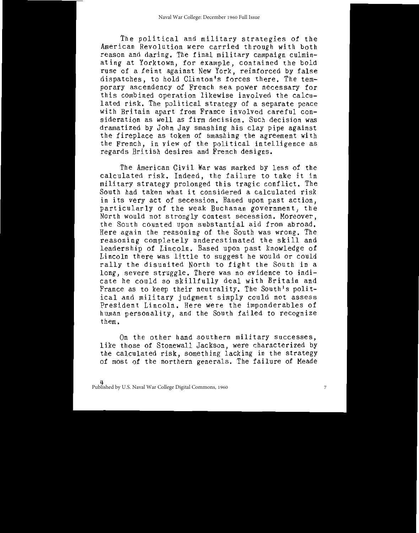The political and military strategies of the American Revolution were carried through with both reason and daring. The final military campaign culminating at Yorktown, for example, contained the bold<br>ruse of a feint against New York, reinforced by false dispatches, to hold Clinton's forces there. The temporary ascendency of French sea power necessary for this combined operation likewise involved the calculated risk. The political strategy of a separate peace with Britain apart from France involved careful consideration as well as firm decision. Such decision was dramatized by John Jay smashing his clay pipe against the fireplace as token of smashing the agreement with the French, in view of the political intelligence as regards British desires and French designs.

The American Civil War was marked by less of the calculated risk. Indeed, the failure to take it in military strategy prolonged this tragic conflict. The South had taken what it considered a calculated risk in its very act of secession. Based upon past action. particularly of the weak Buchanan government, the North would not strongly contest secession. Moreover, the South counted upon substantial aid from abroad. Here again the reasoning of the South was wrong. The reasoning completely underestimated the skill and leadership of Lincoln. Based upon past knowledge of Lincoln there was little to suggest he would or could rally the disunited North to fight the South in a long, severe struggle. There was no evidence to indicate he could so skillfully deal with Britain and France as to keep their neutrality. The South's political and military judgment simply could not assess President Lincoln, Here were the imponderables of human personality, and the South failed to recognize them.

On the other hand southern military successes, like those of Stonewall Jackson, were characterized by the calculated risk, something lacking in the strategy of most of the northern generals. The failure of Meade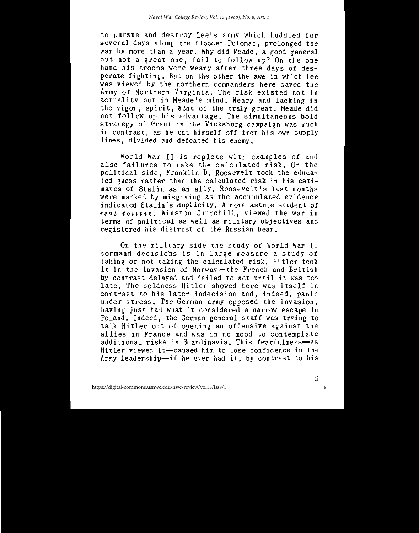to pursue and destroy Lee's army which huddled for several days along the flooded Potomac, prolonged the war by more than a year. Why did Meade, a good general but not a great one, fail to follow up? On the one hand his troops were weary after three days of desperate fighting. But on the other the awe in which Lee was viewed by the northern commanders here saved the Army of Northern Virginia. The risk existed not in actuality but in Meade's mind. Weary and lacking in the vigor, spirit, *i lan* of the truly great. Meade did not follow up his advantage. The simultaneous bold strategy of Grant in the Vicksburg campaign was much in contrast, as he cut himself off from his own supply lines, divided and defeated his enemy.

World War II is replete with examples of and also failures to take the calculated risk. On the political side, Franklin D. Roosevelt took the educated guess rather than the calculated risk in his estimates of Stalin as an ally. Roosevelt's last months were marked by misgiving as the accumulated evidence indicated Stalin's duplicity. A more astute student of real politik, Winston Churchill, viewed the war in<br>terms of political as well as military objectives and registered his distrust of the Russian bear.

On the military side the study of World War II command decisions is in large measure a study of taking or not taking the calculated risk. Hitler took it in the invasion of Norway-the French and British by contrast delayed and failed to act until it was too late. The boldness Hitler showed here was itself in contrast to his later indecision and, indeed, panic under stress. The German army opposed the invasion, having just had what it considered a narrow escape in Poland. Indeed, the German general staff was trying to talk Hitler out of opening an offensive against the allies in France and was in no mood to contemplate additional risks in Scandinavia. This fearfulness-as Hitler viewed it-caused him to lose confidence in the Army leadership-if he ever had it, by contrast to his

8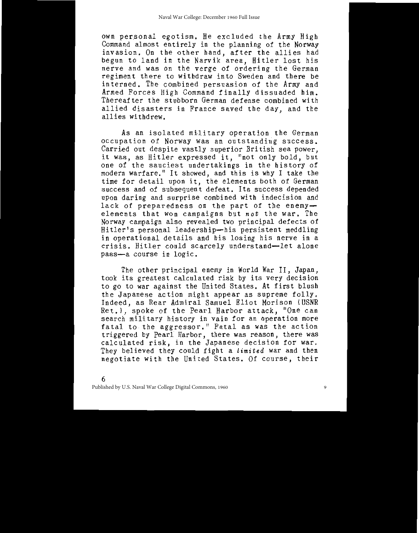own personal egotism. He excluded the Army High Command almost entirely in the planning of the Norway invasion. On the other hand, after the allies had begun to land in the Narvik area, Hitler lost his nerve and was on the verge of ordering the German regiment there to withdraw into Sweden and there be interned. The combined persuasion of the Army and Armed Forces High Command finally dissuaded him. Thereafter the stubborn German defense combined with allied disasters in France saved the day, and the allies withdrew.

As an isolated military operation the German occupation of Norway was an outstanding success. Carried out despite vastly superior British sea power, it was, as Hitler expressed it, "not only bold, but one of the sauciest undertakings in the history of modern warfare." It showed, and this is why I take the time for detail upon it, the elements both of German success and of subsequent defeat. Its success depended upon daring and surprise combined with indecision and lack of preparedness on the part of the enemyelements that won campaigns but not the war. The Norway campaign also revealed two principal defects of Hitler's personal leadership-his persistent meddling in operational details and his losing his nerve in a crisis. Hitler could scarcely understand-let alone pass-a course in logic.

The other principal enemy in World War II, Japan, took its greatest calculated risk by its very decision to go to war against the United States. At first blush the Japanese action might appear as supreme folly. Indeed, as Rear Admiral Samuel Eliot Morison (USNR Ret.), spoke of the Pearl Harbor attack, "One can search military history in vain for an operation more fatal to the aggressor." Fatal as was the action<br>triggered by Pearl Harbor, there was reason, there was calculated risk, in the Japanese decision for war. They believed they could fight a limited war and then negotiate with the United States. Of course, their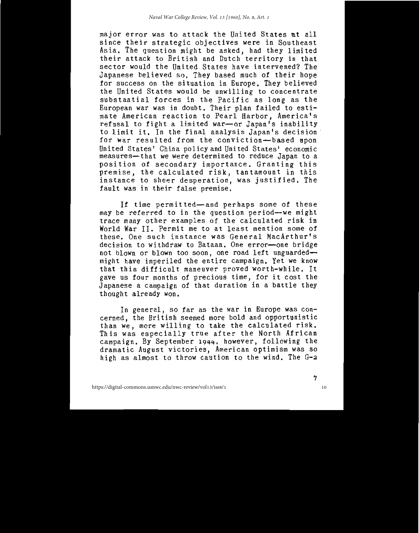major error was to attack the United States at all since their strategic objectives were in Southeast Asia. The question might be asked, had they limited<br>their attack to British and Dutch territory in that sector would the United States have intervened? The Japanese believed so. They based much of their hope for success on the situation in Europe. They believed the United States would be unwilling to concentrate substantial forces in the Pacific as long as the European war was in doubt. Their plan failed to estimate American reaction to Pearl Harbor, America's refusal to fight a limited war-or Japan's inability to limit it. In the final analysis Japan's decision for war resulted from the conviction-based upon United States' China policy and United States' economic measures-that we were determined to reduce Japan to a position of secondary importance. Granting this premise, the calculated risk, tantamount in this instance to sheer desperation, was justified. The fault was in their false premise.

If time permitted-and perhaps some of these may be referred to in the question period-we might trace many other examples of the calculated risk in World War II. Permit me to at least mention some of these. One such instance was General MacArthur's decision to withdraw to Bataan. One error-one bridge not blown or blown too soon, one road left unguardedmight have imperiled the entire campaign. Yet we know that this difficult maneuver proved worth-while. It gave us four months of precious time, for it cost the Japanese a campaign of that duration in a battle they thought already won.

In general, so far as the war in Europe was concerned, the British seemed more bold and opportunistic than we, more willing to take the calculated risk. This was especially true after the North African campaign. By September 1944, however, following the dramatic August victories, American optimism was so high as almost to throw caution to the wind. The G-2

10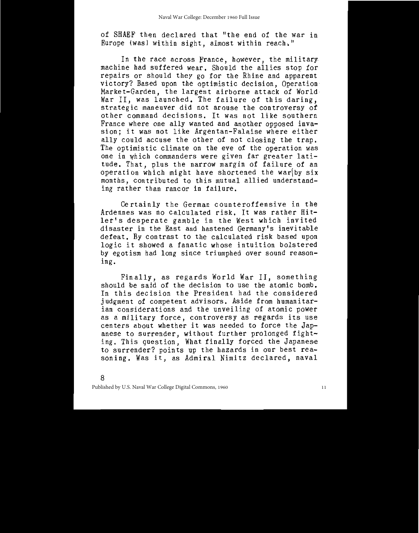of SHAEF then declared that "the end of the war in Europe (was) within sight, almost within reach."

In the race across France, however, the military machine had suffered wear. Should the allies stop for repairs or should they go for the Rhine and apparent victory? Based upon the optimistic decision, Operation Market-Garden, the largest airborne attack of World War II, was launched. The failure of this daring,<br>strategic maneuver did not arouse the controversy of other command decisions. It was not like southern France where one ally wanted and another opposed invasion; it was not like Argentan-Falaise where either ally could accuse the other of not closing the trap. The optimistic climate on the eve of the operation was one in which commanders were given far greater latitude. That, plus the narrow margin of failure of an operation which might have shortened the war by six months, contributed to this mutual allied understanding rather than rancor in failure.

Certainly the German counteroffensive in the Ardennes was no calculated risk. It was rather Hitler's desperate gamble in the West which invited disaster in the East and hastened Germany's inevitable defeat. By contrast to the calculated risk based upon logic it showed a fanatic whose intuition bolstered by egotism had long since triumphed over sound reasoning.

Finally, as regards World War II, something should be said of the decision to use the atomic bomb. In this decision the President had the considered judgment of competent advisors. Aside from humanitarian considerations and the unveiling of atomic power as a military force, controversy as regards its use centers about whether it was needed to force the Japanese to surrender, without further prolonged fighting. This question, What finally forced the Japanese to surrender? points up the hazards in our best reasoning. Was it, as Admiral Nimitz declared, naval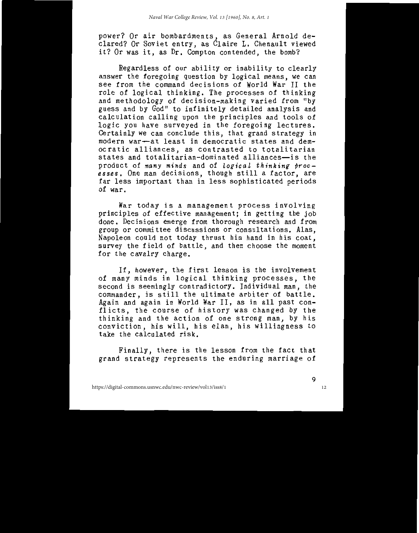power? Or air bombardments, as General Arnold de-<br>clared? Or Soviet entry, as Claire L. Chenault viewed it? Or was it, as Dr. Compton contended, the bomb?

Regardless of our ability or inability to clearly answer the foregoing question by logical means, we can see from the command decisions of World War II the role of logical thinking. The processes of thinking and methodology of decision-making varied from "by guess and by God" to infinitely detailed analysis and calculation calling upon the principles and tools of logic you have surveyed in the foregoing lectures. Certainly we can conclude this, that grand strategy in modern war-at least in democratic states and democratic alliances, as contrasted to totalitarian states and totalitarian-dominated alliances-is the product of many minds and of logical thinking proc-<br>esses. One man decisions, though still a factor, are far less important than in less sophisticated periods of war.

War today is a management process involving principles of effective management; in getting the job done. Decisions emerge from thorough research and from group or committee discussions or consultations. Alas. Napoleon could not today thrust his hand in his coat, survey the field of battle, and then choose the moment for the cavalry charge.

If, however, the first lesson is the involvement of many minds in logical thinking processes, the second is seemingly contradictory. Individual man, the commander, is still the ultimate arbiter of battle. Again and again in World War II, as in all past conflicts, the course of history was changed by the thinking and the action of one strong man, by his conviction, his will, his elan, his willingness to<br>take the calculated risk.

Finally, there is the lesson from the fact that grand strategy represents the enduring marriage of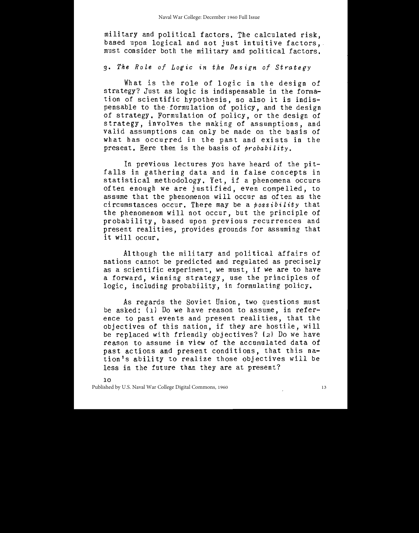military and political factors. The calculated risk, based upon logical and not just intuitive factors. must consider both the military and political factors.

# 3. The Role of Logic in the Design of Strategy

What is the role of logic in the design of strategy? Just as logic is indispensable in the formation of scientific hypothesis, so also it is indispensable to the formulation of policy, and the design of strategy. Formulation of policy, or the design of strategy, involves the making of assumptions, and valid assumptions can only be made on the basis of what has occurred in the past and exists in the present. Here then is the basis of probability.

In previous lectures you have heard of the pitfalls in gathering data and in false concepts in statistical methodology. Yet, if a phenomena occurs often enough we are justified, even compelled, to assume that the phenomenon will occur as often as the circumstances occur. There may be a  $\hat{p}$ ossibility that the phenomenom will not occur, but the principle of probability, based upon previous recurrences and present realities, provides grounds for assuming that it will occur.

Although the military and political affairs of nations cannot be predicted and regulated as precisely as a scientific experiment, we must, if we are to have a forward, winning strategy, use the principles of logic, including probability, in formulating policy.

As regards the Soviet Union, two questions must be asked: (1) Do we have reason to assume, in reference to past events and present realities, that the objectives of this nation, if they are hostile, will be replaced with friendly objectives? (2) Do we have reason to assume in view of the accumulated data of past actions and present conditions, that this nation's ability to realize those objectives will be less in the future than they are at present?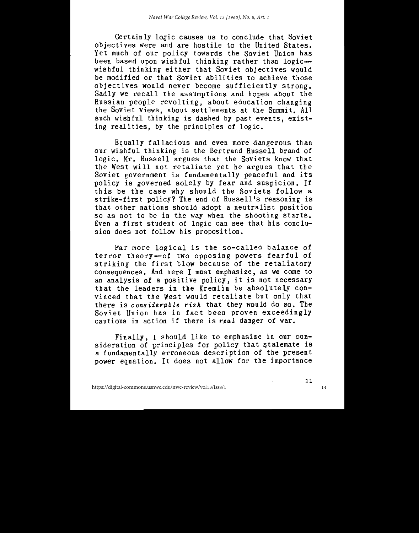Certainly logic causes us to conclude that Soviet objectives were and are hostile to the United States. Yet much of our policy towards the Soviet Union has been based upon wishful thinking rather than logicwishful thinking either that Soviet objectives would be modified or that Soviet abilities to achieve those objectives would never become sufficiently strong. Sadly we recall the assumptions and hopes about the Russian people revolting, about education changing the Soviet views, about settlements at the Summit. All<br>such wishful thinking is dashed by past events, existing realities, by the principles of logic.

Equally fallacious and even more dangerous than our wishful thinking is the Bertrand Russell brand of logic. Mr. Russell argues that the Soviets know that the West will not retaliate yet he argues that the Soviet government is fundamentally peaceful and its policy is governed solely by fear and suspicion. If this be the case why should the Soviets follow a<br>strike-first policy? The end of Russell's reasoning is that other nations should adopt a neutralist position so as not to be in the way when the shooting starts. Even a first student of logic can see that his conclusion does not follow his proposition.

Far more logical is the so-called balance of terror theory-of two opposing powers fearful of<br>striking the first blow because of the retaliatory consequences. And here I must emphasize, as we come to an analysis of a positive policy, it is not necessary that the leaders in the Kremlin be absolutely convinced that the West would retaliate but only that there is considerable risk that they would do so. The Soviet Union has in fact been proven exceedingly cautious in action if there is real danger of war.

Finally, I should like to emphasize in our consideration of principles for policy that stalemate is a fundamentally erroneous description of the present power equation. It does not allow for the importance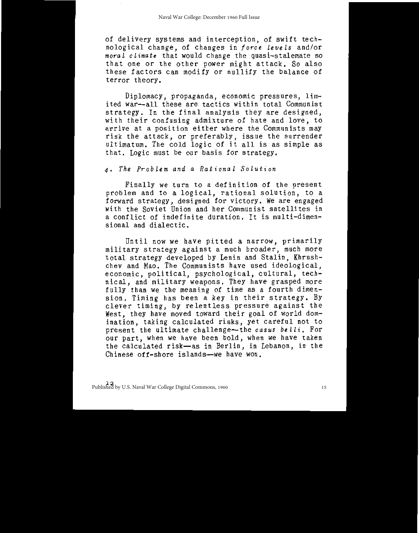of delivery systems and interception, of swift technological change, of changes in force levels and/or moral climate that would change the quasi-stalemate so that one or the other power might attack. So also these factors can modify or nullify the balance of terror theory.

Diplomacy, propaganda, economic pressures, limited war-all these are tactics within total Communist strategy. In the final analysis they are designed, with their confusing admixture of hate and love, to arrive at a position either where the Communists may risk the attack, or preferably, issue the surrender<br>ultimatum. The cold logic of it all is as simple as that. Logic must be our basis for strategy.

4. The Problem and a Rational Solution

Finally we turn to a definition of the present problem and to a logical, rational solution, to a<br>forward strategy, designed for victory. We are engaged<br>with the Soviet Union and her Communist satellites in a conflict of indefinite duration. It is multi-dimensional and dialectic.

Until now we have pitted a narrow, primarily military strategy against a much broader, much more total strategy developed by Lenin and Stalin, Khrushchev and Mao. The Communists have used ideological,<br>economic, political, psychological, cultural, technical, and military weapons. They have grasped more<br>fully than we the meaning of time as a fourth dimension. Timing has been a key in their strategy. By clever timing, by relentless pressure against the West, they have moved toward their goal of world domination, taking calculated risks, yet careful not to present the ultimate challenge-the casus belli. For our part, when we have been bold, when we have taken the calculated risk-as in Berlin, in Lebanon, in the Chinese off-shore islands-we have won.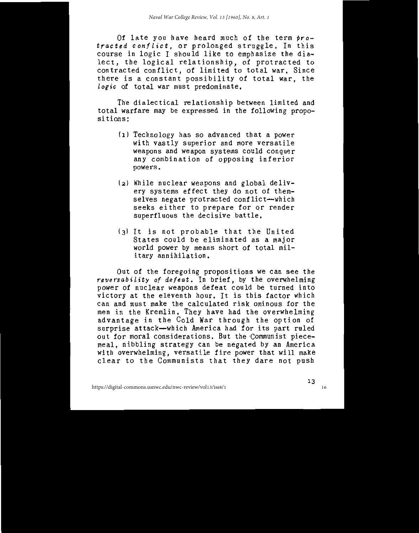Of late you have heard much of the term protracted conflict, or prolonged struggle. In this course in logic I should like to emphasize the dialect, the logical relationship, of protracted to contracted conflict, of limited to total war, Since there is a constant possibility of total war, the logic of total war must predominate.

The dialectical relationship between limited and total warfare may be expressed in the following propositions:

- (1) Technology has so advanced that a power with vastly superior and more versatile weapons and weapon systems could conquer any combination of opposing inferior powers.
- (2) While nuclear weapons and global delivery systems effect they do not of themselves negate protracted conflict-which seeks either to prepare for or render superfluous the decisive battle.
- (3) It is not probable that the United States could be eliminated as a major world power by means short of total military annihilation.

Out of the foregoing propositions we can see the reversability of defeat. In brief, by the overwhelming power of nuclear weapons defeat could be turned into<br>victory at the eleventh hour. It is this factor which can and must make the calculated risk ominous for the<br>men in the Kremlin. They have had the overwhelming advantage in the Cold War through the option of surprise attack-which America had for its part ruled out for moral considerations. But the Communist piecemeal, nibbling strategy can be negated by an America with overwhelming, versatile fire power that will make clear to the Communists that they dare not push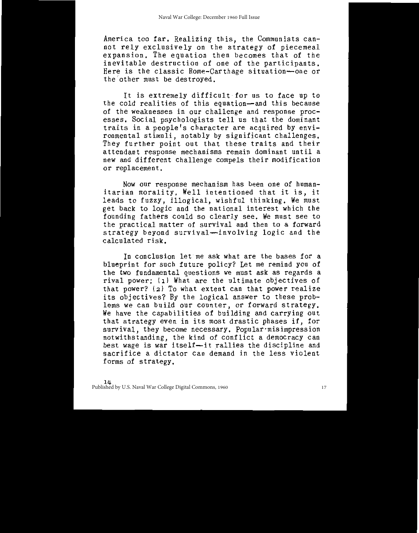America too far. Realizing this, the Communists cannot rely exclusively on the strategy of piecemeal expansion. The equation then becomes that of the inevitable destruction of one of the participants. Here is the classic Rome-Carthage situation-one or the other must be destroved.

It is extremely difficult for us to face up to the cold realities of this equation-and this because of the weaknesses in our challenge and response processes. Social psychologists tell us that the dominant traits in a people's character are acquired by environmental stimuli, notably by significant challenges. They further point out that these traits and their attendant response mechanisms remain dominant until a new and different challenge compels their modification or replacement.

Now our response mechanism has been one of humanitarian morality. Well intentioned that it is, it leads to fuzzy, illogical, wishful thinking. We must get back to logic and the national interest which the founding fathers could so clearly see. We must see to the practical matter of survival and then to a forward strategy beyond survival-involving logic and the calculated risk.

In conclusion let me ask what are the bases for a blueprint for such future policy? Let me remind you of the two fundamental questions we must ask as regards a rival power: (1) What are the ultimate objectives of that power? (2) To what extent can that power realize<br>its objectives? By the logical answer to these problems we can build our counter, or forward strategy. We have the capabilities of building and carrying out that strategy even in its most drastic phases if, for<br>survival, they become necessary. Popular misimpression notwithstanding, the kind of conflict a democracy can<br>best wage is war itself-it rallies the discipline and sacrifice a dictator can demand in the less violent forms of strategy.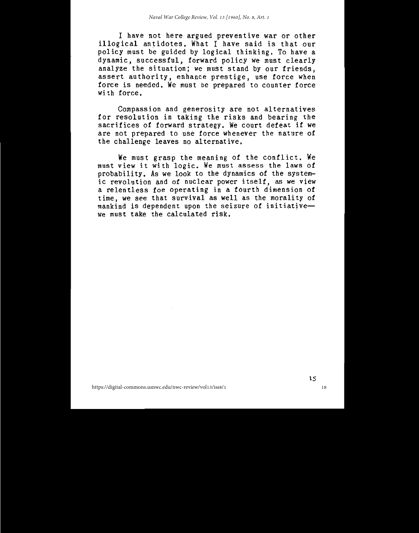I have not here argued preventive war or other illogical antidotes. What I have said is that our policy must be guided by logical thinking. To have a dynamic, successful, forward policy we must clearly analyze the situation; we must stand by our friends, assert authority, enhance prestige, use force when force is needed. We must be prepared to counter force with force.

Compassion and generosity are not alternatives for resolution in taking the risks and bearing the sacrifices of forward strategy. We court defeat if we are not prepared to use force whenever the nature of the challenge leaves no alternative.

We must grasp the meaning of the conflict. We must view it with logic. We must assess the laws of probability. As we look to the dynamics of the systemic revolution and of nuclear power itself, as we view<br>a relentless foe operating in a fourth dimension of time, we see that survival as well as the morality of mankind is dependent upon the seizure of initiativewe must take the calculated risk.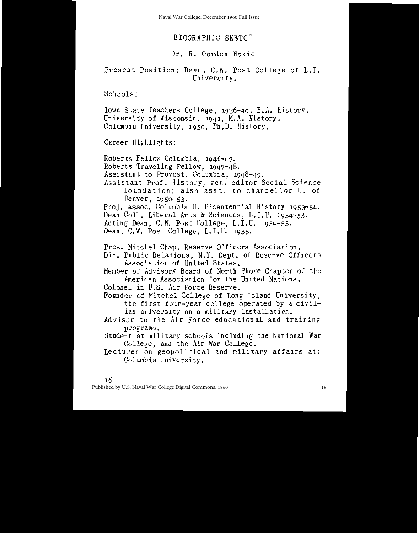Naval War College: December 1960 Full Issue

# BIOGRAPHIC SKETCH

# Dr. R. Gordon Hoxie

# Present Position: Dean, C.W. Post College of L.I. University.

Schools:

Iowa State Teachers College, 1936-40, B.A. History. University of Wisconsin, 1941, M.A. History. Columbia University, 1950, Ph.D. History.

Career Highlights:

Roberts Fellow Columbia, 1946-47. Roberts Traveling Fellow, 1947-48. Assistant to Provost, Columbia, 1948-49. Assistant Prof. History, gen. editor Social Science Foundation: also asst, to chancellor U. of Denver, 1950-53. Proj. assoc. Columbia U. Bicentennial History 1953-54. Dean Coll, Liberal Arts & Sciences, L.I.U. 1954-55. Acting Dean, C.W. Post College, L.I.U. 1954-55. Dean, C.W. Post College, L.I.U. 1955. Pres. Mitchel Chap. Reserve Officers Association. Dir. Public Relations, N.Y. Dept. of Reserve Officers Association of United States. Member of Advisory Board of North Shore Chapter of the American Association for the United Nations. Colonel in U.S. Air Force Reserve. Founder of Mitchel College of Long Island University, the first four-year college operated by a civilian university on a military installation. Advisor to the Air Force educational and training programs. Student at military schools including the National War College, and the Air War College.

Lecturer on geopolitical and military affairs at: Columbia University.

٦6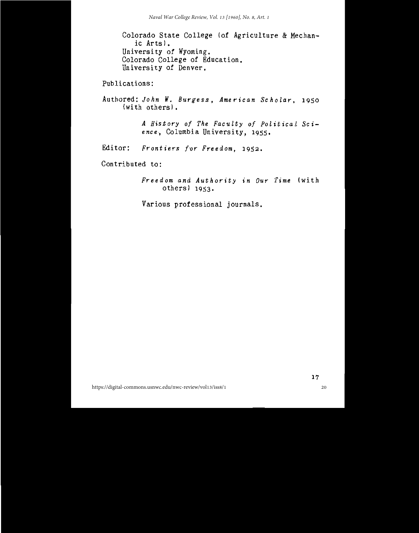Colorado State College (of Agriculture & Mechanic Arts). University of Wyoming. Colorado College of Education. University of Denver.

# Publications:

Authored: John W. Burgess, American Scholar, 1950  $(with \ others)$ .

> A History of The Faculty of Political Science, Columbia University, 1955.

Editor: Frontiers for Freedom, 1952.

Contributed to:

Freedom and Authority in Our Time (with others) 1953.

Various professional journals.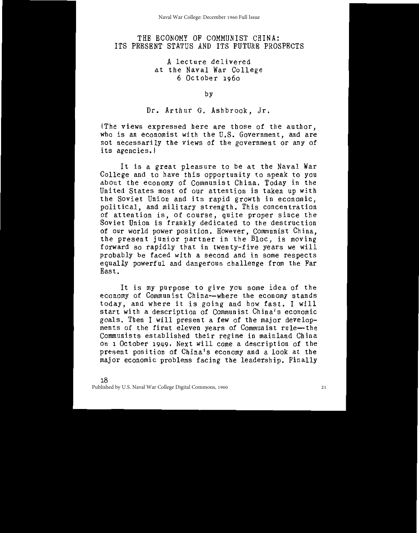# THE ECONOMY OF COMMUNIST CHINA: ITS PRESENT STATUS AND ITS FUTURE PROSPECTS

# A lecture delivered at the Naval War College 6 October 1960

by

Dr. Arthur G. Ashbrook, Jr.

(The views expressed here are those of the author, who is an economist with the U.S. Government, and are not necessarily the views of the government or any of its agencies.)

It is a great pleasure to be at the Naval War College and to have this opportunity to speak to you about the economy of Communist China. Today in the United States most of our attention is taken up with the Soviet Union and its rapid growth in economic, political, and military strength. This concentration of attention is, of course, quite proper since the Soviet Union is frankly dedicated to the destruction of our world power position. However, Communist China, the present junior partner in the Bloc, is moving forward so rapidly that in twenty-five years we will probably be faced with a second and in some respects equally powerful and dangerous challenge from the Far East.

It is my purpose to give you some idea of the economy of Communist China-where the economy stands today, and where it is going and how fast. I will start with a description of Communist China's economic goals. Then I will present a few of the major developments of the first eleven years of Communist rule-the Communists established their regime in mainland China on 1 October 1949. Next will come a description of the present position of China's economy and a look at the major economic problems facing the leadership. Finally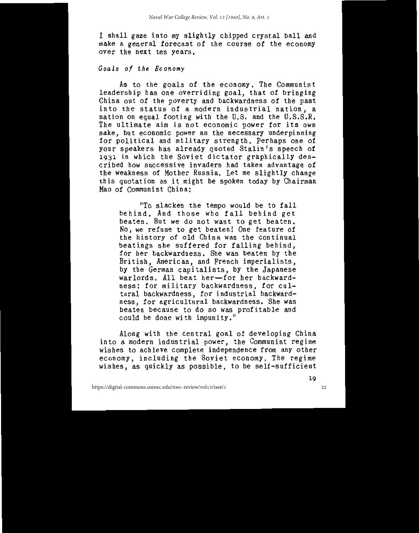I shall gaze into my slightly chipped crystal ball and make a general forecast of the course of the economy over the next ten years.

# Goals of the Economy

As to the goals of the economy. The Communist leadership has one overriding goal, that of bringing China out of the poverty and backwardness of the past into the status of a modern industrial nation, a nation on equal footing with the U.S. and the U.S.S.R. The ultimate aim is not economic power for its own sake, but economic power as the necessary underpinning for political and military strength. Perhaps one of your speakers has already quoted Stalin's speech of 1931 in which the Soviet dictator graphically described how successive invaders had taken advantage of the weakness of Mother Russia. Let me slightly change this quotation as it might be spoken today by Chairman Mao of Communist China:

"To slacken the tempo would be to fall behind. And those who fall behind get beaten. But we do not want to get beaten. No, we refuse to get beaten! One feature of the history of old China was the continual beatings she suffered for falling behind,<br>for her backwardness. She was beaten by the British, American, and French imperialists, by the German capitalists, by the Japanese warlords. All beat her-for her backwardness: for military backwardness, for cultural backwardness, for industrial backwardness, for agricultural backwardness. She was beaten because to do so was profitable and<br>could be done with impunity."

Along with the central goal of developing China into a modern industrial power, the Communist regime<br>wishes to achieve complete independence from any other economy, including the Soviet economy. The regime wishes, as quickly as possible, to be self-sufficient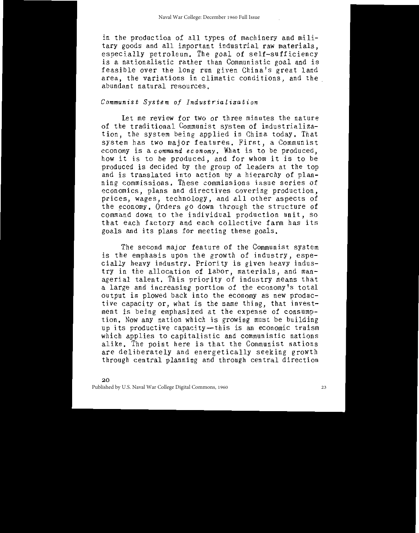in the production of all types of machinery and military goods and all important industrial raw materials. especially petroleum. The goal of self-sufficiency is a nationalistic rather than Communistic goal and is feasible over the long run given China's great land area, the variations in climatic conditions, and the abundant natural resources.

#### Communist System of Industrialization

Let me review for two or three minutes the nature of the traditional Communist system of industrialization, the system being applied in China today. That system has two major features. First, a Communist economy is a command economy. What is to be produced. how it is to be produced, and for whom it is to be produced is decided by the group of leaders at the top and is translated into action by a hierarchy of planning commissions. These commissions issue series of economics, plans and directives covering production. prices, wages, technology, and all other aspects of the economy. Orders go down through the structure of command down to the individual production unit, so that each factory and each collective farm has its goals and its plans for meeting these goals.

The second major feature of the Communist system is the emphasis upon the growth of industry, especially heavy industry. Priority is given heavy industry in the allocation of labor, materials, and man-<br>agerial talent. This priority of industry means that a large and increasing portion of the economy's total output is plowed back into the economy as new productive capacity or, what is the same thing, that investment is being emphasized at the expense of consumption. Now any nation which is growing must be building up its productive capacity-this is an economic truism which applies to capitalistic and communistic nations alike. The point here is that the Communist nations are deliberately and energetically seeking growth through central planning and through central direction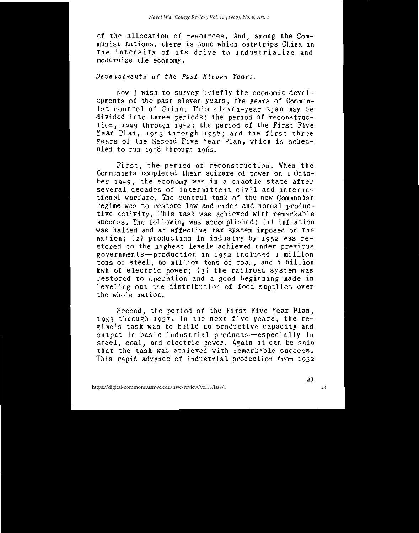of the allocation of resources. And, among the Com-<br>munist nations, there is none which outstrips China in<br>the intensity of its drive to industrialize and modernize the economy.

# Developments of the Past Eleven Years.

Now I wish to survey briefly the economic developments of the past eleven years, the years of Commun-<br>ist control of China. This eleven-year span may be divided into three periods: the period of reconstruc-<br>tion, 1949 through 1952; the period of the First Five Year Plan, 1953 through 1957; and the first three years of the Second Five Year Plan, which is scheduled to run 1958 through 1962.

First, the period of reconstruction. When the Communists completed their seizure of power on 1 October 1949, the economy was in a chaotic state after<br>several decades of intermittent civil and international warfare. The central task of the new Communist regime was to restore law and order and normal productive activity. This task was achieved with remarkable success. The following was accomplished: (1) inflation was halted and an effective tax system imposed on the nation; (2) production in industry by 1952 was restored to the highest levels achieved under previous governments-production in 1952 included 1 million<br>tons of steel, 60 million tons of coal, and 7 billion kwh of electric power; (3) the railroad system was<br>restored to operation and a good beginning made in leveling out the distribution of food supplies over the whole nation.

Second, the period of the First Five Year Plan,<br>1953 through 1957. In the next five years, the regime's task was to build up productive capacity and<br>output in basic industrial products—especially in<br>steel, coal, and electric power. Again it can be said<br>that the task was achieved with remarkable success. This rapid advance of industrial production from 1952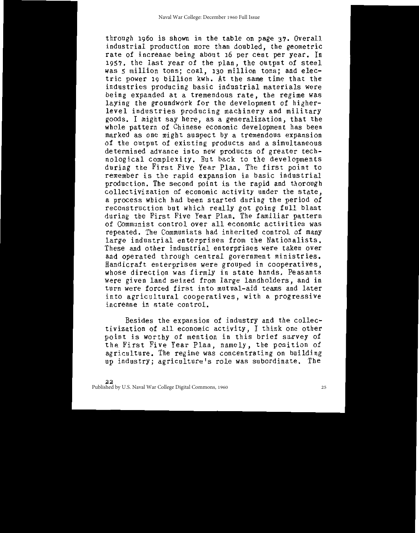through 1960 is shown in the table on page 37. Overall industrial production more than doubled, the geometric rate of increase being about 16 per cent per year. In 1957, the last year of the plan, the output of steel was 5 million tons; coal, 130 million tons; and electric power 19 billion kwh. At the same time that the industries producing basic industrial materials were being expanded at a tremendous rate, the regime was laying the groundwork for the development of higherlevel industries producing machinery and military goods. I might say here, as a generalization, that the whole pattern of Chinese economic development has been marked as one might suspect by a tremendous expansion of the output of existing products and a simultaneous determined advance into new products of greater technological complexity. But back to the developments during the First Five Year Plan. The first point to remember is the rapid expansion in basic industrial production. The second point is the rapid and thorough collectivization of economic activity under the state. a process which had been started during the period of reconstruction but which really got going full blast during the First Five Year Plan. The familiar pattern of Communist control over all economic activities was repeated. The Communists had inherited control of many large industrial enterprises from the Nationalists. These and other industrial enterprises were taken over and operated through central government ministries. Handicraft enterprises were grouped in cooperatives. whose direction was firmly in state hands. Peasants were given land seized from large landholders, and in turn were forced first into mutual-aid teams and later into agricultural cooperatives, with a progressive increase in state control.

Besides the expansion of industry and the collectivization of all economic activity, I think one other point is worthy of mention in this brief survey of the First Five Year Plan, namely, the position of agriculture. The regime was concentrating on building up industry; agriculture's role was subordinate. The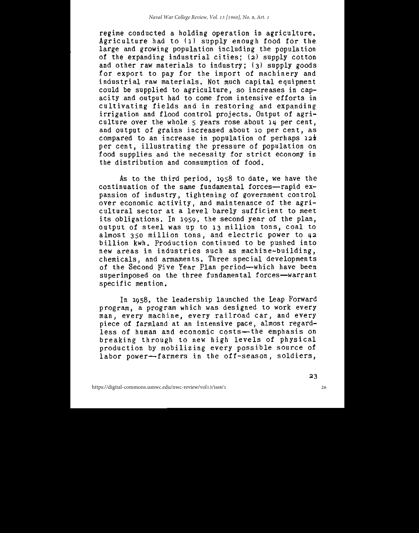regime conducted a holding operation in agriculture. Agriculture had to (1) supply enough food for the large and growing population including the population of the expanding industrial cities; (2) supply cotton and other raw materials to industry; (3) supply goods for export to pay for the import of machinery and industrial raw materials. Not much capital equipment could be supplied to agriculture, so increases in capacity and output had to come from intensive efforts in cultivating fields and in restoring and expanding irrigation and flood control projects. Output of agriculture over the whole 5 years rose about 14 per cent. and output of grains increased about 10 per cent, as compared to an increase in population of perhaps 12% per cent, illustrating the pressure of population on food supplies and the necessity for strict economy in the distribution and consumption of food.

As to the third period, 1958 to date, we have the continuation of the same fundamental forces-rapid expansion of industry, tightening of government control over economic activity, and maintenance of the agricultural sector at a level barely sufficient to meet its obligations. In 1959, the second year of the plan, output of steel was up to 13 million tons, coal to almost 350 million tons, and electric power to 42 billion kwh. Production continued to be pushed into new areas in industries such as machine-building, chemicals, and armaments. Three special developments of the Second Five Year Plan period-which have been superimposed on the three fundamental forces-warrant specific mention.

In 1958, the leadership launched the Leap Forward program, a program which was designed to work every man, every machine, every railroad car, and every piece of farmland at an intensive pace, almost regardless of human and economic costs—the emphasis on breaking through to new high levels of physical production by mobilizing every possible source of labor power-farmers in the off-season, soldiers,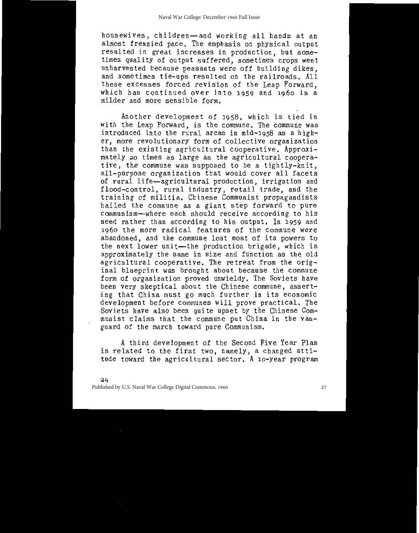housewives, children-and working all hands at an almost frenzied pace. The emphasis on physical output resulted in great increases in production, but some-<br>times quality of output suffered, sometimes crops went unharvested because peasants were off building dikes, and sometimes tie-ups resulted on the railroads. All these excesses forced revision of the Leap Forward. which has continued over into 1959 and 1960 in a milder and more sensible form.

Another development of 1958, which is tied in with the Leap Forward, is the commune. The commune was introduced into the rural areas in mid-1958 as a higher, more revolutionary form of collective organization than the existing agricultural cooperative. Approximately 20 times as large as the agricultural cooperative, the commune was supposed to be a tightly-knit. all-purpose organization that would cover all facets of rural life-agricultural production, irrigation and flood-control, rural industry, retail trade, and the training of militia. Chinese Communist propagandists hailed the commune as a giant step forward to pure communism-where each should receive according to his need rather than according to his output. In 1959 and 1960 the more radical features of the commune were abandoned, and the commune lost most of its powers to the next lower unit-the production brigade, which is approximately the same in size and function as the old agricultural cooperative. The retreat from the original blueprint was brought about because the commune form of organization proved unwieldy. The Soviets have been very skeptical about the Chinese commune, asserting that China must go much further in its economic development before communes will prove practical. The Soviets have also been quite upset by the Chinese Communist claims that the commune put China in the vanguard of the march toward pure Communism.

A third development of the Second Five Year Plan is related to the first two, namely, a changed attitude toward the agricultural sector. A 10-year program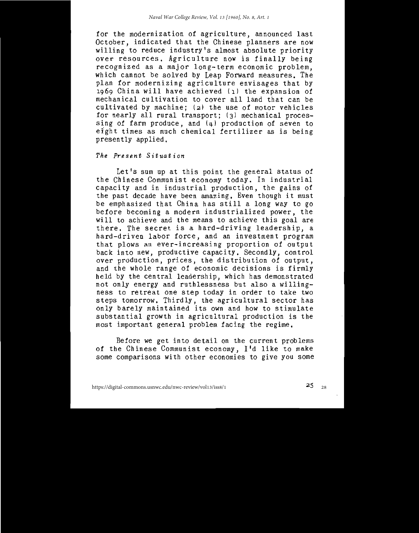for the modernization of agriculture, announced last<br>October, indicated that the Chinese planners are now<br>willing to reduce industry's almost absolute priority over resources, Agriculture now is finally being recognized as a major long-term economic problem,<br>which cannot be solved by Leap Forward measures. The plan for modernizing agriculture envisages that by 1969 China will have achieved (1) the expansion of mechanical cultivation to cover all land that can be cultivated by machine; (2) the use of motor vehicles for nearly all rural transport; (3) mechanical processing of farm produce, and  $(4)$  production of seven to eight times as much chemical fertilizer as is being presently applied.

#### The Present Situation

Let's sum up at this point the general status of the Chinese Communist economy today. In industrial<br>capacity and in industrial production, the gains of the past decade have been amazing. Even though it must be emphasized that China has still a long way to go before becoming a modern industrialized power, the will to achieve and the means to achieve this goal are there. The secret is a hard-driving leadership, a hard-driven labor force, and an investment program that plows an ever-increasing proportion of output back into new, productive capacity. Secondly, control over production, prices, the distribution of output,<br>and the whole range of economic decisions is firmly held by the central leadership, which has demonstrated not only energy and ruthlessness but also a willingness to retreat one step today in order to take two<br>steps tomorrow. Thirdly, the agricultural sector has only barely maintained its own and how to stimulate substantial growth in agricultural production is the most important general problem facing the regime.

Before we get into detail on the current problems of the Chinese Communist economy, I'd like to make some comparisons with other economies to give you some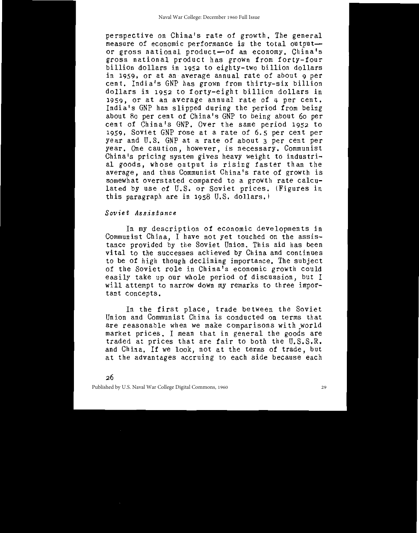perspective on China's rate of growth. The general measure of economic performance is the total output or gross national product-of an economy. China's gross national product has grown from forty-four billion dollars in 1952 to eighty-two billion dollars in 1959, or at an average annual rate of about 9 per cent. India's GNP has grown from thirty-six billion dollars in 1952 to forty-eight billion dollars in 1959, or at an average annual rate of 4 per cent. India's GNP has slipped during the period from being about 80 per cent of China's GNP to being about 60 per cent of China's GNP. Over the same period 1952 to 1959, Soviet GNP rose at a rate of 6.5 per cent per year and U.S. GNP at a rate of about 3 per cent per year. One caution, however, is necessary. Communist<br>China's pricing system gives heavy weight to industrial goods, whose output is rising faster than the average, and thus Communist China's rate of growth is somewhat overstated compared to a growth rate calculated by use of U.S. or Soviet prices. (Figures in this paragraph are in 1958 U.S. dollars.)

#### Soviet Assistance

In my description of economic developments in Communist China, I have not yet touched on the assistance provided by the Soviet Union. This aid has been vital to the successes achieved by China and continues to be of high though declining importance. The subject of the Soviet role in China's economic growth could easily take up our whole period of discussion, but I will attempt to narrow down my remarks to three important concepts.

In the first place, trade between the Soviet<br>Union and Communist China is conducted on terms that are reasonable when we make comparisons with world market prices. I mean that in general the goods are traded at prices that are fair to both the U.S.S.R.<br>and China. If we look, not at the terms of trade, but at the advantages accruing to each side because each

26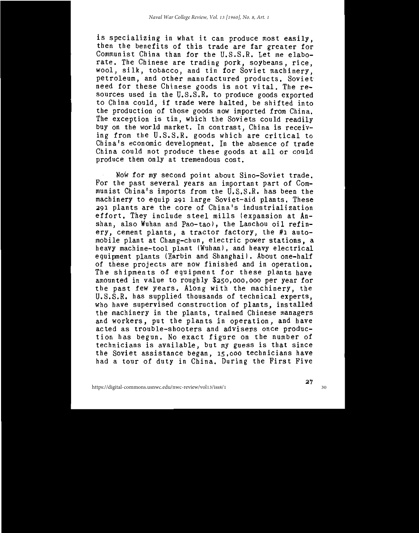is specializing in what it can produce most easily,<br>then the benefits of this trade are far greater for<br>Communist China than for the U.S.S.R. Let me elaborate. The Chinese are trading pork, soybeans, rice, wool, silk, tobacco, and tin for Soviet machinery,<br>petroleum, and other manufactured products. Soviet<br>need for these Chinese goods is not vital. The resources used in the U.S.S.R. to produce goods exported to China could, if trade were halted, be shifted into the production of those goods now imported from China.<br>The exception is tin, which the Soviets could readily buy on the world market. In contrast, China is receiving from the U.S.S.R. goods which are critical to The figure 0.0.0.8.R. goods which are critical to<br>China's economic development. In the absence of trade<br>China could not produce these goods at all or could<br>produce them only at tremendous cost.

Now for my second point about Sino-Soviet trade. For the past several years an important part of Com-<br>munist China's imports from the U.S.S.R. has been the machinery to equip 291 large Soviet-aid plants. These 291 plants are the core of China's industrialization<br>effort. They include steel mills (expansion at Anshan, also Wuhan and Pao-tao), the Lanchou oil refin-<br>ery, cement plants, a tractor factory, the #1 automobile plant at Chang-chun, electric power stations, a<br>heavy machine-tool plant (Wuhan), and heavy electrical equipment plants (Harbin and Shanghai). About one-half<br>of these projects are now finished and in operation. The shipments of equipment for these plants have<br>amounted in value to roughly \$250,000,000 per year for the past few years. Along with the machinery, the U.S.S.R. has supplied thousands of technical experts, who have supervised construction of plants, installed<br>the machinery in the plants, trained Chinese managers and workers, put the plants in operation, and have acted as trouble-shooters and advisers once production has begun. No exact figure on the number of<br>technicians is available, but my guess is that since<br>the Soviet assistance began, 15,000 technicians have had a tour of duty in China. During the First Five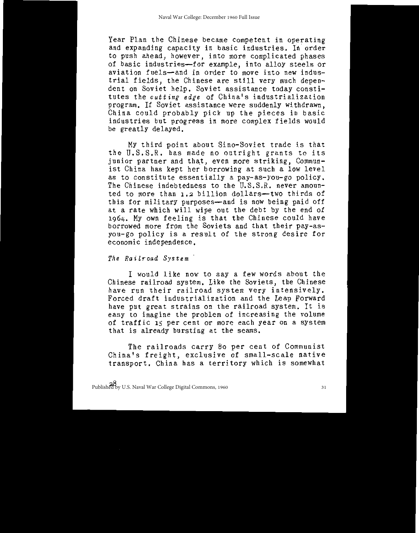Year Plan the Chinese became competent in operating and expanding capacity in basic industries. In order to push ahead, however, into more complicated phases of basic industries-for example, into alloy steels or aviation fuels-and in order to move into new industrial fields, the Chinese are still very much dependent on Soviet help. Soviet assistance today constitutes the *cutting edge* of China's industrialization program. If Soviet assistance were suddenly withdrawn. China could probably pick up the pieces in basic<br>industries but progress in more complex fields would be greatly delayed.

My third point about Sino-Soviet trade is that the U.S.S.R. has made no outright grants to its junior partner and that, even more striking, Communist China has kept her borrowing at such a low level as to constitute essentially a pay-as-you-go policy. The Chinese indebtedness to the U.S.S.R. never amounted to more than 1.2 billion dollars--- two thirds of this for military purposes-and is now being paid off at a rate which will wipe out the debt by the end of 1964. My own feeling is that the Chinese could have<br>borrowed more from the Soviets and that their pay-asyou-go policy is a result of the strong desire for economic independence.

The Railroad System

I would like now to say a few words about the Chinese railroad system. Like the Soviets, the Chinese have run their railroad system very intensively. Forced draft industrialization and the Leap Forward have put great strains on the railroad system. It is easy to imagine the problem of increasing the volume of traffic 15 per cent or more each year on a system that is already bursting at the seams.

The railroads carry 80 per cent of Communist<br>China's freight, exclusive of small-scale native transport. China has a territory which is somewhat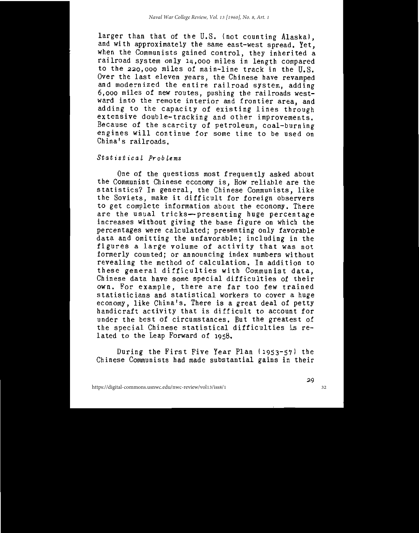larger than that of the U.S. (not counting Alaska), and with approximately the same east-west spread. Yet, when the Communists gained control, they inherited a railroad system only 14,000 miles in length compared to the 220,000 miles of main-line track in the U.S. Over the last eleven years, the Chinese have revamped and modernized the entire railroad system, adding 6,000 miles of new routes, pushing the railroads westward into the remote interior and frontier area, and adding to the capacity of existing lines through<br>extensive double-tracking and other improvements. Because of the scarcity of petroleum, coal-burning<br>engines will continue for some time to be used on China's railroads.

## Statistical Problems

One of the questions most frequently asked about the Communist Chinese economy is, How reliable are the statistics? In general, the Chinese Communists, like the Soviets, make it difficult for foreign observers to get complete information about the economy. There are the usual tricks-presenting huge percentage increases without giving the base figure on which the percentages were calculated; presenting only favorable data and omitting the unfavorable; including in the figures a large volume of activity that was not formerly counted; or announcing index numbers without revealing the method of calculation. In addition to these general difficulties with Communist data, Chinese data have some special difficulties of their own. For example, there are far too few trained statisticians and statistical workers to cover a huge economy, like China's. There is a great deal of petty handicraft activity that is difficult to account for under the best of circumstances. But the greatest of the special Chinese statistical difficulties is related to the Leap Forward of 1958.

During the First Five Year Plan (1953-57) the Chinese Communists had made substantial gains in their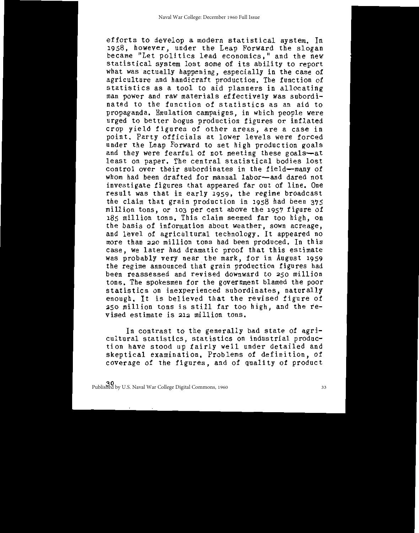efforts to develop a modern statistical system. In<br>1958, however, under the Leap Forward the slogan<br>became "Let politics lead economics," and the new statistical system lost some of its ability to report what was actually happening, especially in the case of agriculture and handicraft production. The function of statistics as a tool to aid planners in allocating man power and raw materials effectively was subordinated to the function of statistics as an aid to propaganda. Emulation campaigns, in which people were urged to better bogus production figures or inflated crop yield figures of other areas, are a case in point. Party officials at lower levels were forced under the Leap Forward to set high production goals and they were fearful of not meeting these goals-at<br>least on paper. The central statistical bodies lost control over their subordinates in the field-many of whom had been drafted for manual labor-and dared not investigate figures that appeared far out of line. One result was that in early 1959, the regime broadcast the claim that grain production in 1958 had been 375 million tons, or 103 per cent above the 1957 figure of 185 million tons. This claim seemed far too high, on the basis of information about weather, sown acreage, and level of agricultural technology. It appeared no more than 220 million tons had been produced. In this case, we later had dramatic proof that this estimate was probably very near the mark, for in August 1959 the regime announced that grain production figures had been reassessed and revised downward to 250 million tons. The spokesmen for the government blamed the poor statistics on inexperienced subordinates, naturally enough. It is believed that the revised figure of 250 million tons is still far too high, and the revised estimate is 212 million tons.

In contrast to the generally bad state of agricultural statistics, statistics on industrial production have stood up fairly well under detailed and<br>skeptical examination. Problems of definition, of coverage of the figures, and of quality of product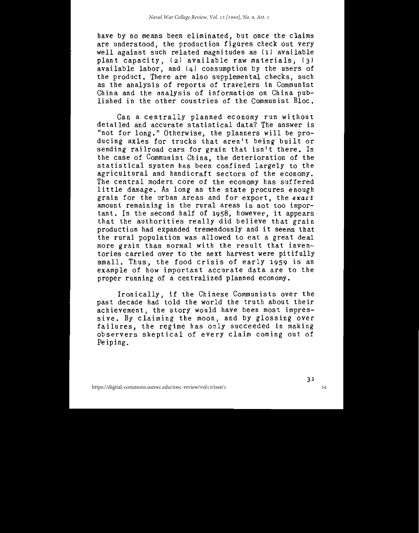have by no means been eliminated, but once the claims are understood, the production figures check out very well against such related magnitudes as (1) available<br>plant capacity, (2) available raw materials, (3) available labor, and  $(4)$  consumption by the users of<br>the product. There are also supplemental checks, such as the analysis of reports of travelers in Communist China and the analysis of information on China pub-<br>lished in the other countries of the Communist Bloc.

Can a centrally planned economy run without<br>detailed and accurate statistical data? The answer is "not for long." Otherwise, the planners will be pro-<br>ducing axles for trucks that aren't being built or sending railroad cars for grain that isn't there. In the case of Communist China, the deterioration of the statistical system has been confined largely to the agricultural and handicraft sectors of the economy.<br>The central modern core of the economy has suffered little damage. As long as the state procures enough grain for the urban areas and for export, the exact amount remaining in the rural areas is not too important. In the second half of 1958, however, it appears<br>that the authorities really did believe that grain production had expanded tremendously and it seems that the rural population was allowed to eat a great deal more grain than normal with the result that inventories carried over to the next harvest were pitifully small. Thus, the food crisis of early 1959 is an example of how important accurate data are to the proper running of a centralized planned economy.

Ironically, if the Chinese Communists over the<br>past decade had told the world the truth about their achievement, the story would have been most impressive. By claiming the moon, and by glossing over<br>failures, the regime has only succeeded in making observers skeptical of every claim coming out of Peiping.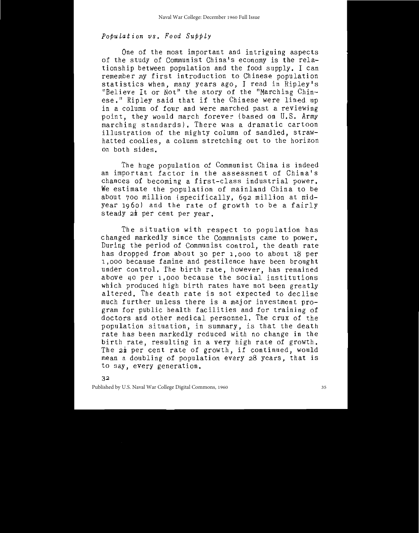# Population vs. Food Supply

One of the most important and intriguing aspects of the study of Communist China's economy is the relationship between population and the food supply. I can remember my first introduction to Chinese population statistics when, many years ago, I read in Ripley's "Believe It or Not" the story of the "Marching Chinese." Ripley said that if the Chinese were lined up in a column of four and were marched past a reviewing point, they would march forever (based on U.S. Army marching standards). There was a dramatic cartoon illustration of the mighty column of sandled, strawhatted coolies, a column stretching out to the horizon on both sides.

The huge population of Communist China is indeed an important factor in the assessment of China's chances of becoming a first-class industrial power. We estimate the population of mainland China to be about 700 million (specifically, 692 million at midyear 1960) and the rate of growth to be a fairly steady  $2\frac{1}{2}$  per cent per year.

The situation with respect to population has changed markedly since the Communists came to power. During the period of Communist control, the death rate has dropped from about 30 per 1,000 to about 18 per 1,000 because famine and pestilence have been brought under control. The birth rate, however, has remained above 40 per 1,000 because the social institutions which produced high birth rates have not been greatly altered. The death rate is not expected to decline much further unless there is a major investment program for public health facilities and for training of doctors and other medical personnel. The crux of the population situation, in summary, is that the death rate has been markedly reduced with no change in the birth rate, resulting in a very high rate of growth. The 22 per cent rate of growth, if continued, would mean a doubling of population every 28 years, that is to say, every generation.

32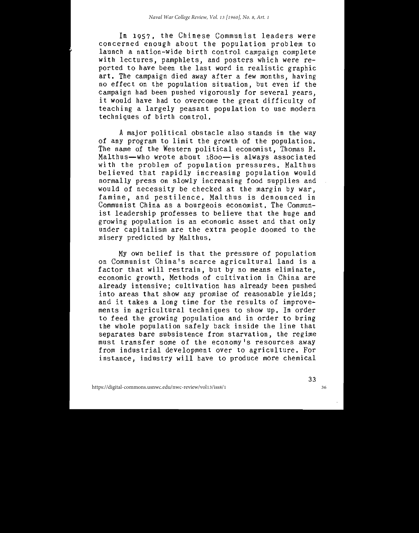In 1957, the Chinese Communist leaders were concerned enough about the population problem to launch a nation-wide birth control campaign complete with lectures, pamphlets, and posters which were reported to have been the last word in realistic graphic art. The campaign died away after a few months, having<br>no effect on the population situation, but even if the campaign had been pushed vigorously for several years. it would have had to overcome the great difficulty of teaching a largely peasant population to use modern techniques of birth control.

A major political obstacle also stands in the way of any program to limit the growth of the population. The name of the Western political economist, Thomas R. Malthus-who wrote about 1800-is always associated with the problem of population pressures. Malthus believed that rapidly increasing population would normally press on slowly increasing rood supplies and would of necessity be checked at the margin by war. famine, and pestilence. Malthus is denounced in Communist China as a bourgeois economist. The Communist leadership professes to believe that the huge and growing population is an economic asset and that only under capitalism are the extra people doomed to the misery predicted by Malthus.

My own belief is that the pressure of population on Communist China's scarce agricultural land is a factor that will restrain, but by no means eliminate, economic growth. Methods of cultivation in China are already intensive; cultivation has already been pushed into areas that show any promise of reasonable yields; and it takes a long time for the results of improvements in agricultural techniques to show up. In order to feed the growing population and in order to bring the whole population safely back inside the line that separates bare subsistence from starvation, the regime must transfer some of the economy's resources away from industrial development over to agriculture. For instance, industry will have to produce more chemical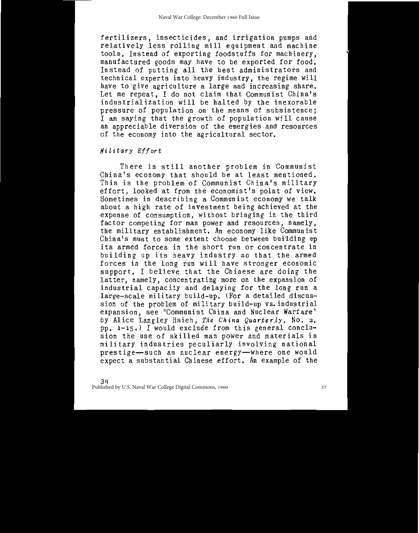fertilizers, insecticides, and irrigation pumps and relatively less rolling mill equipment and machine tools. Instead of exporting foodstuffs for machinery. manufactured goods may have to be exported for food. Instead of putting all the best administrators and technical experts into heavy industry, the regime will<br>have to give agriculture a large and increasing share. Let me repeat, I do not claim that Communist China's industrialization will be halted by the inexorable pressure of population on the means of subsistence; I am saying that the growth of population will cause an appreciable diversion of the energies and resources of the economy into the agricultural sector.

# Military Effort

There is still another problem in Communist China's economy that should be at least mentioned. This is the problem of Communist China's military effort, looked at from the economist's point of view. Sometimes in describing a Communist economy we talk about a high rate of investment being achieved at the expense of consumption, without bringing in the third factor competing for man power and resources, namely,<br>the military establishment. An economy like Communist China's must to some extent choose between building up its armed forces in the short run or concentrate in building up its heavy industry so that the armed forces in the long run will have stronger economic support. I believe that the Chinese are doing the latter, namely, concentrating more on the expansion of industrial capacity and delaying for the long run a large-scale military build-up. (For a detailed discussion of the problem of military build-up vs. industrial expansion, see "Communist China and Nuclear Warfare" by Alice Langley Hsieh, The China Quarterly, No. 2, pp. 1-15.) I would exclude from this general conclusion the use of skilled man power and materials in military industries peculiarly involving national prestige-such as nuclear energy-where one would expect a substantial Chinese effort. An example of the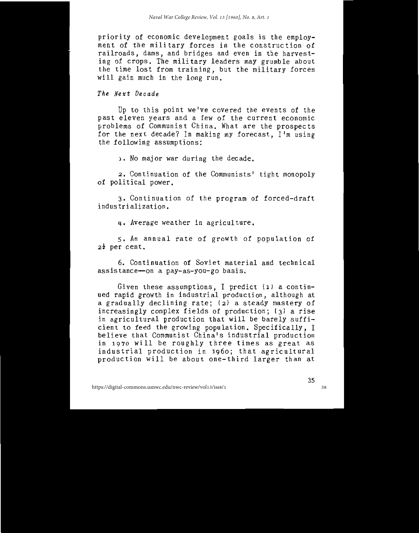priority of economic development goals is the employment of the military forces in the construction of railroads, dams, and bridges and even in the harvesting of crops. The military leaders may grumble about the time lost from training, but the military forces will gain much in the long run.

The Next Decade

Up to this point we've covered the events of the past eleven years and a few of the current economic problems of Communist China. What are the prospects for the next decade? In making my forecast, I'm using the following assumptions:

1. No major war during the decade.

2. Continuation of the Communists' tight monopoly of political power.

3. Continuation of the program of forced-draft industrialization.

4. Average weather in agriculture.

5. An annual rate of growth of population of  $2\frac{1}{2}$  per cent.

6. Continuation of Soviet material and technical assistance-on a pay-as-you-go basis.

Given these assumptions, I predict (1) a continued rapid growth in industrial production, although at a gradually declining rate; (2) a steady mastery of increasingly complex fields of production; (3) a rise in agricultural production that will be barely sufficient to feed the growing population. Specifically, I believe that Communist China's industrial production in 1970 will be roughly three times as great as industrial production in 1960; that agricultural production will be about one-third larger than at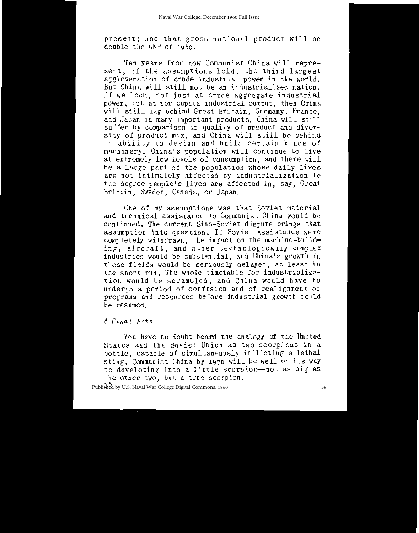present; and that gross national product will be double the GNP of 1960.

Ten years from now Communist China will represent, if the assumptions hold, the third largest agglomeration of crude industrial power in the world. But China will still not be an industrialized nation. If we look, not just at crude aggregate industrial power, but at per capita industrial output, then China will still lag behind Great Britain, Germany, France, and Japan in many important products. China will still suffer by comparison in quality of product and diversity of product mix, and China will still be behind in ability to design and build certain kinds of machinery. China's population will continue to live at extremely low levels of consumption, and there will be a large part of the population whose daily lives are not intimately affected by industrialization to the degree people's lives are affected in, say, Great Britain, Sweden, Canada, or Japan.

One of my assumptions was that Soviet material and technical assistance to Communist China would be continued. The current Sino-Soviet dispute brings that assumption into question. If Soviet assistance were completely withdrawn, the impact on the machine-building, aircraft, and other technologically complex industries would be substantial, and China's growth in these fields would be seriously delayed, at least in the short run. The whole timetable for industrialization would be scrambled, and China would have to undergo a period of confusion and of realignment of programs and resources before industrial growth could be resumed.

#### A Final Note

You have no doubt heard the analogy of the United States and the Soviet Union as two scorpions in a bottle, capable of simultaneously inflicting a lethal sting. Communist China by 1970 will be well on its way to developing into a little scorpion-not as big as the other two, but a true scorpion.

Published by U.S. Naval War College Digital Commons, 1960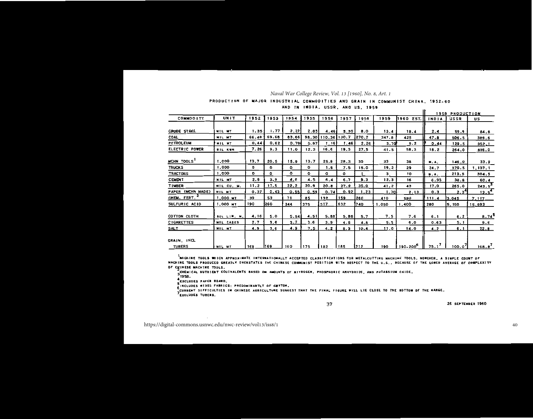#### *Naval War College Review, Vol. 13 [1960], No. 8, Art. 1*

#### PRODUCTION OF MAJOR INOUSTRIAL COMMODITIES AND GRAIN IN COMMUNIST CHINA, 1952-60

#### AND IN INDIA, USSR, AND US, 1959

|                              |                |       |       |       |      |                    |              |       |       |                      |          | <b>1959 PRODUCTION</b> |                     |
|------------------------------|----------------|-------|-------|-------|------|--------------------|--------------|-------|-------|----------------------|----------|------------------------|---------------------|
| <b>COMMOO ITY</b>            | <b>UNIT</b>    | 1952  | 1953  | 1954  | 1955 | 1956               | 1957         | 1958  | 1959  | 1960<br>EST. II      | INDIA    | <b>USSR</b>            | มร                  |
|                              |                |       |       |       |      |                    |              |       |       |                      |          |                        |                     |
| <b>CRUDE STAEL</b>           | MIL MT         | 1.35  | 1.77  | 2.22  | 2.85 | 4.46               | 5.35         | 8.0   | 13.4  | 18.4                 | 2.4      | 59.9                   | 84.8                |
| COAL                         | MIL MT         | 66.49 | 69.68 | 63.66 |      | 98.30 110.36 130.7 |              | 270.2 | 347.8 | 425                  | 47.8     | 506.5                  | 389.6               |
| <b>PETROLEUM</b>             | MIL NT         | 0.44  | 0.62  | 0.79  | 0.97 | 1.16               | 1.46         | 2.26  | 3.70  | 5.2                  | 0.44     | 129.5                  | 352.1               |
| ELECTRIC POWER               | <b>BIL KYM</b> | 7.26  | 9.3   | 11.0  | 12.3 | 16.6               | 19.3         | 27.5  | 41.5  | 58.3                 | 18.2     | 264.0                  | 836.0               |
| MCHN TOOLS                   | 1,000          | 13.7  | 20.5  | 15.9  | 13.7 | 25.9               | 28.3         | 30    | 33    | 38                   | M.A.     | 146.0                  | 33.9                |
| <b>TRUCKS</b>                | 1,000          | ۰     | ۰     | ۰     | ۰    | 1.6                | 7.5          | 15.0  | 19.2  | 29                   | 24.7     | 370.5                  | 1, 137, 1           |
| <b>TRACTORS</b>              | 1.000          | 0     | ٥     | ٥     | ۰    | $\sigma$           | $\mathbf{o}$ | 1     | з     | 10                   | N.A.     | 213.5                  | 304.5               |
| <b>CEMENT</b>                | MIL MT         | 2.9   | 3.9   | 4.6   | 4.5  | 6.4                | 6.7          | 9.3   | 12.3  | 16                   | 6.95     | 38.8                   | 60.4                |
| <b>TIMBER</b>                | MIL CU, M.     | 11.2  | 17.5  | 22.2  | 20.9 | 20.8               | 27.9         | 35.0  | 41.2  | 43                   | 17.0     | 265.0                  | 243.5               |
| PAPER (MCHN MADE)            | MIL MT         | 0.37  | 0.43  | 0.55  | 0.59 | 0.74               | 0.92         | 1,23  | 1.70  | 2.13                 | 0.3      | $2.3^{\circ}$          | $13.5^{\circ}$      |
| CHEM. FERT.                  | 1,000 MT       | 39    | 53    | 71    | 85   | 132                | 159          | 266   | 410   | 580                  | 111.4    | 3,045                  | 7.117               |
| SULFURIC ACID                | 1,000 MT       | 190   | 1260  | 344   | 375  | 517                | 632          | 740   | 1.050 | 1,400                | 280      | 5,100                  | 15,893              |
| COTTON CLOTH                 | BIL LIN. M.    | 4.16  | 5.0   | 5.54  | 4.51 | 5.88               | 5.95         | 5.7   | 7.5   | 7.6                  | 6.1      | 6.2                    | $8.74$ <sup>3</sup> |
| <b>CIGARETTES</b>            | MIL CASES      | 2.7   | 3.6   | 3.7   | 3.6  | 3.9 <sup>°</sup>   | 4.5          | 4.8   | 5.5   | 6.0                  | 0.63     | 5.1                    | 9.6                 |
| <b>SALT</b>                  | MIL MT         | 4.9   | 3.6   | 4.9   | 7.5  | 4.2                | 8.3          | 10,4  | 11.0  | 14.0                 | 4.2      | 6.1                    | 22.8                |
| GRAIN, INCL<br><b>TUBERS</b> | NIL MT         | 168   | 1169  | 160   | 175  | 182                | 185          | 212   | 190   | 190-200 <sup>6</sup> | $75.1^7$ | 100.0'                 | 168.8'              |

,<br>NACHINE TOOLS WHICH APPROXIMATE INTERNATIONALLT ACCEPTED CLASSIFICATIONS FOR METALCUTTING MACHINE TOOLS, HOWEVER, A SIMPLE COUNT OF MACHINE TOOLS PRODUCED GREATLY OVERSTATES THE CHINESE COMMUNIST POSITION WITH RESPECT TO THE U.S., BECAUSE OF THE LOWER AVERAGE OF COMPLEXITY OF CHINESE MACHINE TODLS.

37

.<br>CHEMICAL NUTRIENT EOUIVALENTS BASED ON AMOUNTS OF NITROGEN, PHOSPHORIC ANHYDRIDE, AND POTASSIUM OXIDE.

 $3^{1958}$ 

EXCLUDES PAPER BOARD.

SINCLUDES MIXED FABRICS: PREDOMINANTLT OF COTTOM.

.<br>CURRENT DIFFICULTIES IM CHINESE AGRICULTURE SUGGEST THAT THE FINAL FIGURE WILL LIE CLOSE TO THE BOTTOM OF THE RANGE. TEXCLUDES TUBERS.

26 SEPTEMBER 1960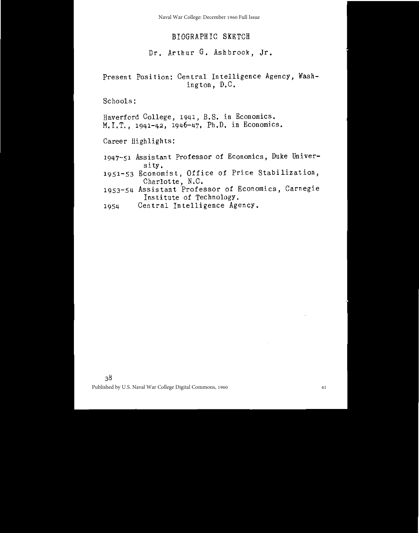Naval War College: December 1960 Full Issue

# BIOGRAPHIC SKETCH

# Dr. Arthur G. Ashbrook, Jr.

Present Position: Central Intelligence Agency, Washington, D.C.

Schools:

Haverford College, 1941, B.S. in Economics. M.I.T.,  $1941-42$ ,  $1946-47$ , Ph.D. in Economics.

Career Highlights:

- 1947-51 Assistant Professor of Economics, Duke University.
- 1951-53 Economist, Office of Price Stabilization, Charlotte, N.C.
- 1953-54 Assistant Professor of Economics, Carnegie Institute of Technology.
- Central Intelligence Agency. 1954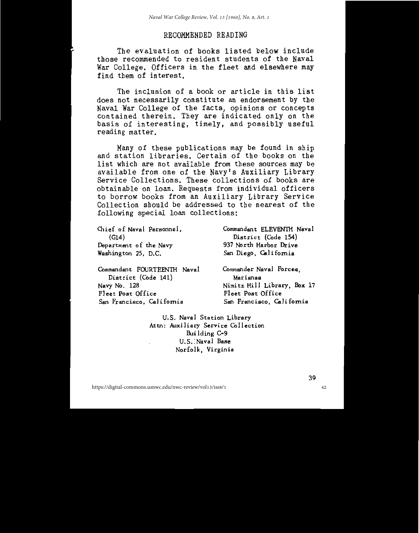# RECOMMENDED READING

The evaluation of books listed below include those recommended to resident students of the Naval War College. Officers in the fleet and elsewhere may find them of interest.

The inclusion of a book or article in this list does not necessarily constitute an endorsement by the Naval War College of the facts, opinions or concepts contained therein. They are indicated only on the basis of interesting, timely, and possibly useful reading matter.

Many of these publications may be found in ship and station libraries. Certain of the books on the list which are not available from these sources may be available from one of the Navy's Auxiliary Library Service Collections. These collections of books are obtainable on loan. Requests from individual officers to borrow books from an Auxiliary Library Service Collection should be addressed to the nearest of the following special loan collections:

| Chief of Naval Personnel,   | Commandant ELEVENTH Naval   |  |  |  |  |  |  |
|-----------------------------|-----------------------------|--|--|--|--|--|--|
| (G14)                       | District (Code 154)         |  |  |  |  |  |  |
| Department of the Navy      | 937 North Harbor Drive      |  |  |  |  |  |  |
| Washington 25, D.C.         | San Diego, California       |  |  |  |  |  |  |
| Commandant FOURTEENTH Naval | Commander Naval Forces.     |  |  |  |  |  |  |
| District (Code 141)         | Marianas                    |  |  |  |  |  |  |
| Navy No. 128                | Nimitz Hill Library, Box 17 |  |  |  |  |  |  |
| Fleet Post Office           | Fleet Post Office           |  |  |  |  |  |  |
| San Francisco, California   | San Francisco, California   |  |  |  |  |  |  |

U.S. Naval Station Library Attn: Auxiliary Service Collection Building C-9 U.S. Naval Base Norfolk, Virginia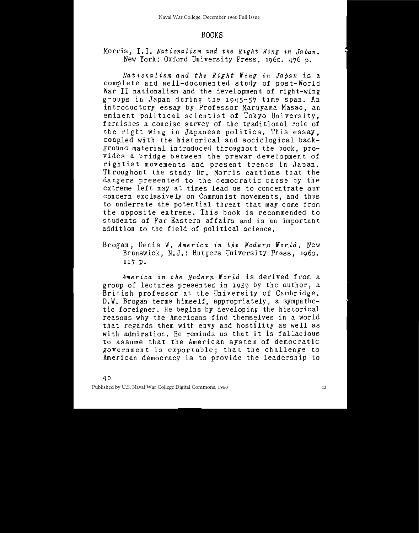## **BOOKS**

# Morris, I.I. Nationalism and the Right Wing in Japan. New York: Oxford University Press, 1960, 476 p.

Nationalism and the Right Wing in Japan is a complete and well-documented study of post-World War II nationalism and the development of right-wing groups in Japan during the 1945-57 time span. An introductory essay by Professor Maruyama Masao, an eminent political scientist of Tokyo University, furnishes a concise survey of the traditional role of the right wing in Japanese politics. This essay. coupled with the historical and sociological background material introduced throughout the book, provides a bridge between the prewar development of rightist movements and present trends in Japan. Throughout the study Dr. Morris cautions that the dangers presented to the democratic cause by the extreme left may at times lead us to concentrate our concern exclusively on Communist movements, and thus to underrate the potential threat that may come from the opposite extreme. This book is recommended to students of Far Eastern affairs and is an important addition to the field of political science.

Brogan, Denis W. America in the Modern World. New Brunswick, N.J.: Rutgers University Press, 1960. 117 p.

America in the Modern World is derived from a group of lectures presented in 1959 by the author, a British professor at the University of Cambridge. D.W. Brogan terms himself, appropriately, a sympathetic foreigner. He begins by developing the historical reasons why the Americans find themselves in a world that regards them with envy and hostility as well as with admiration. He reminds us that it is fallacious to assume that the American system of democratic government is exportable; that the challenge to American democracy is to provide the leadership to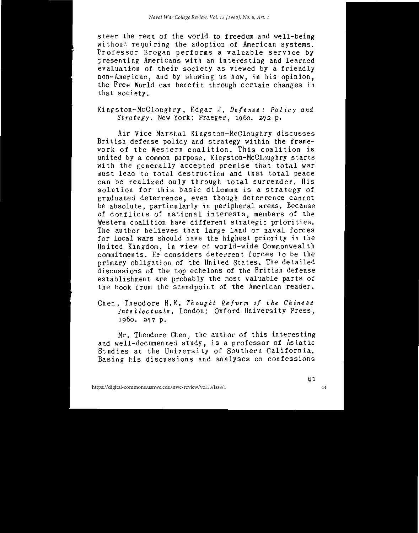steer the rest of the world to freedom and well-being without requiring the adoption of American systems. Professor Brogan performs a valuable service by presenting Americans with an interesting and learned evaluation of their society as viewed by a friendly non-American, and by showing us how, in his opinion, the Free World can benefit through certain changes in that society.

Kingston-McCloughry, Edgar J. Defense: Policy and Strategy. New York: Praeger, 1960. 272 p.

Air Vice Marshal Kingston-McCloughry discusses British defense policy and strategy within the framework of the Western coalition. This coalition is united by a common purpose. Kingston-McCloughry starts with the generally accepted premise that total war must lead to total destruction and that total peace can be realized only through total surrender. His solution for this basic dilemma is a strategy of graduated deterrence, even though deterrence cannot be absolute, particularly in peripheral areas. Because of conflicts of national interests, members of the Western coalition have different strategic priorities. The author believes that large land or naval forces for local wars should have the highest priority in the United Kingdom, in view of world-wide Commonwealth commitments. He considers deterrent forces to be the primary obligation of the United States. The detailed discussions of the top echelons of the British defense establishment are probably the most valuable parts of the book from the standpoint of the American reader.

Chen, Theodore H.E. Thought Reform of the Chinese Intellectuals. London: Oxford University Press, 1960. 247 p.

Mr. Theodore Chen, the author of this interesting and well-documented study, is a professor of Asiatic<br>Studies at the University of Southern California. Basing his discussions and analyses on confessions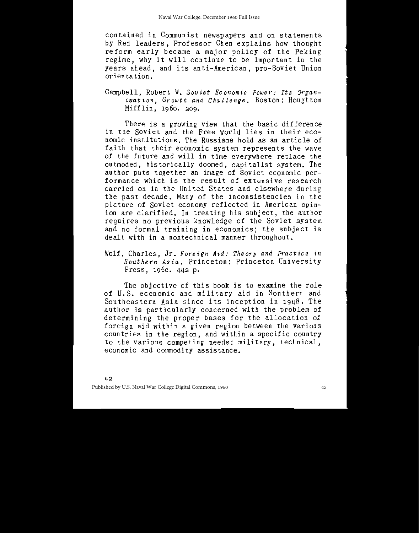contained in Communist newspapers and on statements by Red leaders. Professor Chen explains how thought reform early became a major policy of the Peking<br>regime, why it will continue to be important in the years ahead, and its anti-American, pro-Soviet Union orientation.

Campbell, Robert W. Soviet Economic Power: Its Organization, Growth and Challenge. Boston: Houghton Mifflin, 1960, 209.

There is a growing view that the basic difference in the Soviet and the Free World lies in their economic institutions. The Russians hold as an article of faith that their economic system represents the wave of the future and will in time everywhere replace the outmoded, historically doomed, capitalist system. The author puts together an image of Soviet economic performance which is the result of extensive research carried on in the United States and elsewhere during the past decade. Many of the inconsistencies in the picture of Soviet economy reflected in American opinion are clarified. In treating his subject, the author requires no previous knowledge of the Soviet system and no formal training in economics; the subject is dealt with in a nontechnical manner throughout.

Wolf, Charles, Jr. Foreign Aid: Theory and Practice in Southern Asia. Princeton: Princeton University Press, 1960, 442 p.

The objective of this book is to examine the role of U.S. economic and military aid in Southern and Southeastern Asia since its inception in 1948. The author is particularly concerned with the problem of determining the proper bases for the allocation of foreign aid within a given region between the various countries in the region, and within a specific country to the various competing needs: military, technical, economic and commodity assistance.